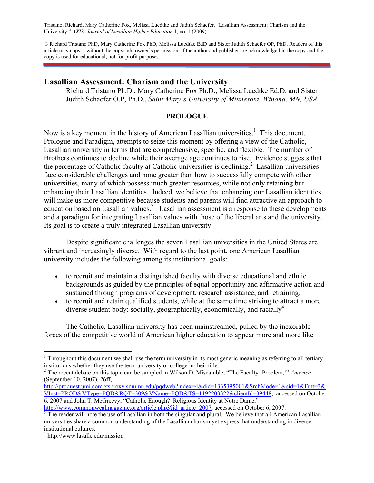Tristano, Richard, Mary Catherine Fox, Melissa Luedtke and Judith Schaefer. "Lasallian Assessment: Charism and the University." *AXIS: Journal of Lasallian Higher Education* 1, no. 1 (2009).

© Richard Tristano PhD, Mary Catherine Fox PhD, Melissa Luedtke EdD and Sister Judith Schaefer OP, PhD. Readers of this article may copy it without the copyright owner's permission, if the author and publisher are acknowledged in the copy and the copy is used for educational, not-for-profit purposes.

## **Lasallian Assessment: Charism and the University**

Richard Tristano Ph.D., Mary Catherine Fox Ph.D., Melissa Luedtke Ed.D. and Sister Judith Schaefer O.P, Ph.D., *Saint Mary's University of Minnesota, Winona, MN, USA* 

#### **PROLOGUE**

Now is a key moment in the history of American Lasallian universities.<sup>1</sup> This document, Prologue and Paradigm, attempts to seize this moment by offering a view of the Catholic, Lasallian university in terms that are comprehensive, specific, and flexible. The number of Brothers continues to decline while their average age continues to rise. Evidence suggests that the percentage of Catholic faculty at Catholic universities is declining.<sup>2</sup> Lasallian universities face considerable challenges and none greater than how to successfully compete with other universities, many of which possess much greater resources, while not only retaining but enhancing their Lasallian identities. Indeed, we believe that enhancing our Lasallian identities will make us more competitive because students and parents will find attractive an approach to education based on Lasallian values.<sup>3</sup> Lasallian assessment is a response to these developments and a paradigm for integrating Lasallian values with those of the liberal arts and the university. Its goal is to create a truly integrated Lasallian university.

 Despite significant challenges the seven Lasallian universities in the United States are vibrant and increasingly diverse. With regard to the last point, one American Lasallian university includes the following among its institutional goals:

- to recruit and maintain a distinguished faculty with diverse educational and ethnic backgrounds as guided by the principles of equal opportunity and affirmative action and sustained through programs of development, research assistance, and retraining.
- to recruit and retain qualified students, while at the same time striving to attract a more diverse student body: socially, geographically, economically, and racially  $4\overline{ }$

 The Catholic, Lasallian university has been mainstreamed, pulled by the inexorable forces of the competitive world of American higher education to appear more and more like

1

<sup>&</sup>lt;sup>1</sup> Throughout this document we shall use the term university in its most generic meaning as referring to all tertiary institutions whether they use the term university or college in their title.

<sup>2</sup> The recent debate on this topic can be sampled in Wilson D. Miscamble, "The Faculty 'Problem,'" *America*  (September 10, 2007), 26ff,

http://proquest.umi.com.xxproxy.smumn.edu/pqdweb?index=4&did=1335395001&SrchMode=1&sid=1&Fmt=3& VInst=PROD&VType=PQD&RQT=309&VName=PQD&TS=1192203322&clientId=39448, accessed on October 6, 2007 and John T. McGreevy, "Catholic Enough? Religious Identity at Notre Dame,"

http://www.commonwealmagazine.org/article.php3?id\_article=2007, accessed on October 6, 2007.

 $\frac{1}{3}$  The reader will note the use of Lasallian in both the singular and plural. We believe that all American Lasallian universities share a common understanding of the Lasallian charism yet express that understanding in diverse institutional cultures.

<sup>4</sup> http://www.lasalle.edu/mission.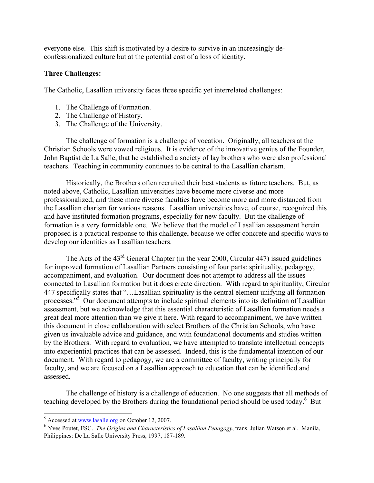everyone else. This shift is motivated by a desire to survive in an increasingly deconfessionalized culture but at the potential cost of a loss of identity.

## **Three Challenges:**

The Catholic, Lasallian university faces three specific yet interrelated challenges:

- 1. The Challenge of Formation.
- 2. The Challenge of History.
- 3. The Challenge of the University.

 The challenge of formation is a challenge of vocation. Originally, all teachers at the Christian Schools were vowed religious. It is evidence of the innovative genius of the Founder, John Baptist de La Salle, that he established a society of lay brothers who were also professional teachers. Teaching in community continues to be central to the Lasallian charism.

 Historically, the Brothers often recruited their best students as future teachers. But, as noted above, Catholic, Lasallian universities have become more diverse and more professionalized, and these more diverse faculties have become more and more distanced from the Lasallian charism for various reasons. Lasallian universities have, of course, recognized this and have instituted formation programs, especially for new faculty. But the challenge of formation is a very formidable one. We believe that the model of Lasallian assessment herein proposed is a practical response to this challenge, because we offer concrete and specific ways to develop our identities as Lasallian teachers.

The Acts of the  $43<sup>rd</sup>$  General Chapter (in the year 2000, Circular 447) issued guidelines for improved formation of Lasallian Partners consisting of four parts: spirituality, pedagogy, accompaniment, and evaluation. Our document does not attempt to address all the issues connected to Lasallian formation but it does create direction. With regard to spirituality, Circular 447 specifically states that "…Lasallian spirituality is the central element unifying all formation processes."<sup>5</sup> Our document attempts to include spiritual elements into its definition of Lasallian assessment, but we acknowledge that this essential characteristic of Lasallian formation needs a great deal more attention than we give it here. With regard to accompaniment, we have written this document in close collaboration with select Brothers of the Christian Schools, who have given us invaluable advice and guidance, and with foundational documents and studies written by the Brothers. With regard to evaluation, we have attempted to translate intellectual concepts into experiential practices that can be assessed. Indeed, this is the fundamental intention of our document. With regard to pedagogy, we are a committee of faculty, writing principally for faculty, and we are focused on a Lasallian approach to education that can be identified and assessed.

 The challenge of history is a challenge of education. No one suggests that all methods of teaching developed by the Brothers during the foundational period should be used today.<sup>6</sup> But

<sup>&</sup>lt;sup>5</sup> Accessed at www.lasalle.org on October 12, 2007.

<sup>6</sup> Yves Poutet, FSC. *The Origins and Characteristics of Lasallian Pedagogy*, trans. Julian Watson et al. Manila, Philippines: De La Salle University Press, 1997, 187-189.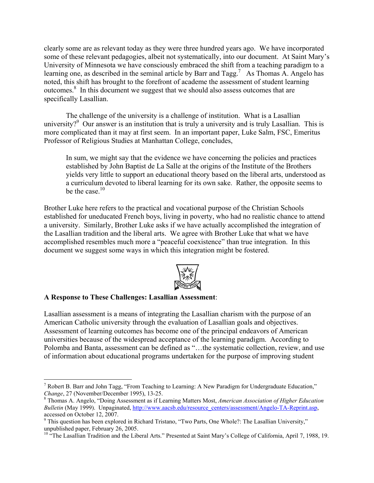clearly some are as relevant today as they were three hundred years ago. We have incorporated some of these relevant pedagogies, albeit not systematically, into our document. At Saint Mary's University of Minnesota we have consciously embraced the shift from a teaching paradigm to a learning one, as described in the seminal article by Barr and Tagg.<sup>7</sup> As Thomas A. Angelo has noted, this shift has brought to the forefront of academe the assessment of student learning outcomes.8 In this document we suggest that we should also assess outcomes that are specifically Lasallian.

 The challenge of the university is a challenge of institution. What is a Lasallian university? $9$  Our answer is an institution that is truly a university and is truly Lasallian. This is more complicated than it may at first seem. In an important paper, Luke Salm, FSC, Emeritus Professor of Religious Studies at Manhattan College, concludes,

In sum, we might say that the evidence we have concerning the policies and practices established by John Baptist de La Salle at the origins of the Institute of the Brothers yields very little to support an educational theory based on the liberal arts, understood as a curriculum devoted to liberal learning for its own sake. Rather, the opposite seems to be the case. $10$ 

Brother Luke here refers to the practical and vocational purpose of the Christian Schools established for uneducated French boys, living in poverty, who had no realistic chance to attend a university. Similarly, Brother Luke asks if we have actually accomplished the integration of the Lasallian tradition and the liberal arts. We agree with Brother Luke that what we have accomplished resembles much more a "peaceful coexistence" than true integration. In this document we suggest some ways in which this integration might be fostered.



### **A Response to These Challenges: Lasallian Assessment**:

1

Lasallian assessment is a means of integrating the Lasallian charism with the purpose of an American Catholic university through the evaluation of Lasallian goals and objectives. Assessment of learning outcomes has become one of the principal endeavors of American universities because of the widespread acceptance of the learning paradigm. According to Polomba and Banta, assessment can be defined as "…the systematic collection, review, and use of information about educational programs undertaken for the purpose of improving student

<sup>&</sup>lt;sup>7</sup> Robert B. Barr and John Tagg, "From Teaching to Learning: A New Paradigm for Undergraduate Education," *Change*, 27 (November/December 1995), 13-25.

Thomas A. Angelo, "Doing Assessment as if Learning Matters Most, *American Association of Higher Education Bulletin* (May 1999). Unpaginated, http://www.aacsb.edu/resource\_centers/assessment/Angelo-TA-Reprint.asp, accessed on October 12, 2007.

<sup>&</sup>lt;sup>9</sup> This question has been explored in Richard Tristano, "Two Parts, One Whole?: The Lasallian University," unpublished paper, February 26, 2005.

<sup>&</sup>lt;sup>10</sup> "The Lasallian Tradition and the Liberal Arts." Presented at Saint Mary's College of California, April 7, 1988, 19.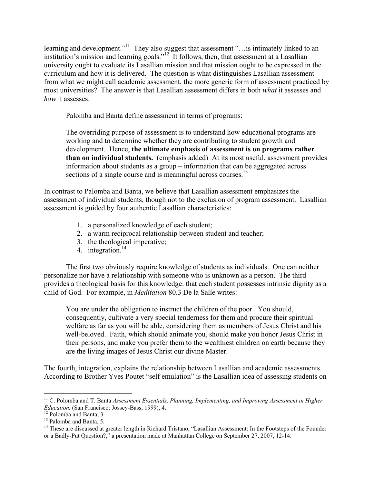learning and development."<sup>11</sup> They also suggest that assessment "...is intimately linked to an institution's mission and learning goals."<sup>12</sup> It follows, then, that assessment at a Lasallian university ought to evaluate its Lasallian mission and that mission ought to be expressed in the curriculum and how it is delivered. The question is what distinguishes Lasallian assessment from what we might call academic assessment, the more generic form of assessment practiced by most universities? The answer is that Lasallian assessment differs in both *what* it assesses and *how* it assesses.

Palomba and Banta define assessment in terms of programs:

The overriding purpose of assessment is to understand how educational programs are working and to determine whether they are contributing to student growth and development. Hence, **the ultimate emphasis of assessment is on programs rather than on individual students.** (emphasis added) At its most useful, assessment provides information about students as a group – information that can be aggregated across sections of a single course and is meaningful across courses.<sup>13</sup>

In contrast to Palomba and Banta, we believe that Lasallian assessment emphasizes the assessment of individual students, though not to the exclusion of program assessment. Lasallian assessment is guided by four authentic Lasallian characteristics:

- 1. a personalized knowledge of each student;
- 2. a warm reciprocal relationship between student and teacher;
- 3. the theological imperative;
- 4. integration.<sup>14</sup>

 The first two obviously require knowledge of students as individuals. One can neither personalize nor have a relationship with someone who is unknown as a person. The third provides a theological basis for this knowledge: that each student possesses intrinsic dignity as a child of God. For example, in *Meditation* 80.3 De la Salle writes:

You are under the obligation to instruct the children of the poor. You should, consequently, cultivate a very special tenderness for them and procure their spiritual welfare as far as you will be able, considering them as members of Jesus Christ and his well-beloved. Faith, which should animate you, should make you honor Jesus Christ in their persons, and make you prefer them to the wealthiest children on earth because they are the living images of Jesus Christ our divine Master.

The fourth, integration, explains the relationship between Lasallian and academic assessments. According to Brother Yves Poutet "self emulation" is the Lasallian idea of assessing students on

 $\overline{a}$ <sup>11</sup> C. Polomba and T. Banta *Assessment Essentials, Planning, Implementing, and Improving Assessment in Higher Education,* (San Francisco: Jossey-Bass, 1999), 4. 12 Polomba and Banta, 3.

<sup>&</sup>lt;sup>13</sup> Palomba and Banta, 5.

<sup>&</sup>lt;sup>14</sup> These are discussed at greater length in Richard Tristano, "Lasallian Assessment: In the Footsteps of the Founder or a Badly-Put Question?," a presentation made at Manhattan College on September 27, 2007, 12-14.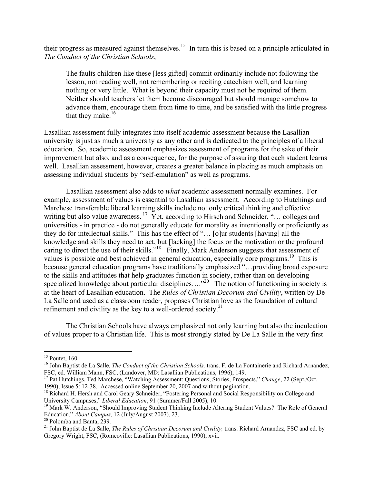their progress as measured against themselves.<sup>15</sup> In turn this is based on a principle articulated in *The Conduct of the Christian Schools*,

The faults children like these [less gifted] commit ordinarily include not following the lesson, not reading well, not remembering or reciting catechism well, and learning nothing or very little. What is beyond their capacity must not be required of them. Neither should teachers let them become discouraged but should manage somehow to advance them, encourage them from time to time, and be satisfied with the little progress that they make. $16$ 

Lasallian assessment fully integrates into itself academic assessment because the Lasallian university is just as much a university as any other and is dedicated to the principles of a liberal education. So, academic assessment emphasizes assessment of programs for the sake of their improvement but also, and as a consequence, for the purpose of assuring that each student learns well. Lasallian assessment, however, creates a greater balance in placing as much emphasis on assessing individual students by "self-emulation" as well as programs.

 Lasallian assessment also adds to *what* academic assessment normally examines. For example, assessment of values is essential to Lasallian assessment. According to Hutchings and Marchese transferable liberal learning skills include not only critical thinking and effective writing but also value awareness.  $17$  Yet, according to Hirsch and Schneider, "... colleges and universities - in practice - do not generally educate for morality as intentionally or proficiently as they do for intellectual skills." This has the effect of "… [o]ur students [having] all the knowledge and skills they need to act, but [lacking] the focus or the motivation or the profound caring to direct the use of their skills."<sup>18</sup> Finally, Mark Anderson suggests that assessment of values is possible and best achieved in general education, especially core programs.<sup>19</sup> This is because general education programs have traditionally emphasized "...providing broad exposure to the skills and attitudes that help graduates function in society, rather than on developing specialized knowledge about particular disciplines....<sup>"20</sup> The notion of functioning in society is at the heart of Lasallian education. The *Rules of Christian Decorum and Civility*, written by De La Salle and used as a classroom reader, proposes Christian love as the foundation of cultural refinement and civility as the key to a well-ordered society. $2<sup>1</sup>$ 

 The Christian Schools have always emphasized not only learning but also the inculcation of values proper to a Christian life. This is most strongly stated by De La Salle in the very first

 $\overline{a}$ 

 $15$  Poutet, 160.

<sup>&</sup>lt;sup>16</sup> John Baptist de La Salle, *The Conduct of the Christian Schools*, trans. F. de La Fontainerie and Richard Arnandez, FSC, ed. William Mann, FSC, (Landover, MD: Lasallian Publications, 1996), 149.

<sup>&</sup>lt;sup>17</sup> Pat Hutchings, Ted Marchese, "Watching Assessment: Questions, Stories, Prospects," *Change*, 22 (Sept./Oct.

<sup>1990),</sup> Issue 5: 12-38. Accessed online September 20, 2007 and without pagination.<br><sup>18</sup> Richard H. Hersh and Carol Geary Schneider, "Fostering Personal and Social Responsibility on College and<br>University Campuses," *Liberal* 

<sup>&</sup>lt;sup>19</sup> Mark W. Anderson, "Should Improving Student Thinking Include Altering Student Values? The Role of General Education." *About Campus*, 12 (July/August 2007), 23.<br><sup>20</sup> Polomba and Banta, 239.

<sup>&</sup>lt;sup>21</sup> John Baptist de La Salle, *The Rules of Christian Decorum and Civility*, trans. Richard Arnandez, FSC and ed. by Gregory Wright, FSC, (Romeoville: Lasallian Publications, 1990), xvii.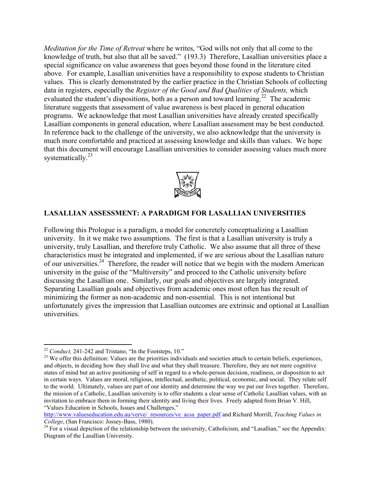*Meditation for the Time of Retreat* where he writes, "God wills not only that all come to the knowledge of truth, but also that all be saved." (193.3) Therefore, Lasallian universities place a special significance on value awareness that goes beyond those found in the literature cited above. For example, Lasallian universities have a responsibility to expose students to Christian values. This is clearly demonstrated by the earlier practice in the Christian Schools of collecting data in registers, especially the *Register of the Good and Bad Qualities of Students,* which evaluated the student's dispositions, both as a person and toward learning.<sup>22</sup> The academic literature suggests that assessment of value awareness is best placed in general education programs. We acknowledge that most Lasallian universities have already created specifically Lasallian components in general education, where Lasallian assessment may be best conducted. In reference back to the challenge of the university, we also acknowledge that the university is much more comfortable and practiced at assessing knowledge and skills than values. We hope that this document will encourage Lasallian universities to consider assessing values much more systematically. $^{23}$ 



## **LASALLIAN ASSESSMENT: A PARADIGM FOR LASALLIAN UNIVERSITIES**

Following this Prologue is a paradigm, a model for concretely conceptualizing a Lasallian university. In it we make two assumptions. The first is that a Lasallian university is truly a university, truly Lasallian, and therefore truly Catholic. We also assume that all three of these characteristics must be integrated and implemented, if we are serious about the Lasallian nature of our universities.24 Therefore, the reader will notice that we begin with the modern American university in the guise of the "Multiversity" and proceed to the Catholic university before discussing the Lasallian one. Similarly, our goals and objectives are largely integrated. Separating Lasallian goals and objectives from academic ones most often has the result of minimizing the former as non-academic and non-essential. This is not intentional but unfortunately gives the impression that Lasallian outcomes are extrinsic and optional at Lasallian universities.

<sup>&</sup>lt;sup>22</sup> Conduct, 241-242 and Tristano, "In the Footsteps, 10."

<sup>&</sup>lt;sup>23</sup> We offer this definition: Values are the priorities individuals and societies attach to certain beliefs, experiences, and objects, in deciding how they shall live and what they shall treasure. Therefore, they are not mere cognitive states of mind but an active positioning of self in regard to a whole-person decision, readiness, or disposition to act in certain ways. Values are moral, religious, intellectual, aesthetic, political, economic, and social. They relate self to the world. Ultimately, values are part of our identity and determine the way we put our lives together. Therefore, the mission of a Catholic, Lasallian university is to offer students a clear sense of Catholic Lasallian values, with an invitation to embrace them in forming their identity and living their lives. Freely adapted from Brian V. Hill, "Values Education in Schools, Issues and Challenges,"

http://www.valueseducation.edu.au/verve/\_resources/ve\_acsa\_paper.pdf and Richard Morrill, *Teaching Values in* 

*College*, (San Francisco: Jossey-Bass, 1980).<br><sup>24</sup> For a visual depiction of the relationship between the university, Catholicism, and "Lasallian," see the Appendix: Diagram of the Lasallian University.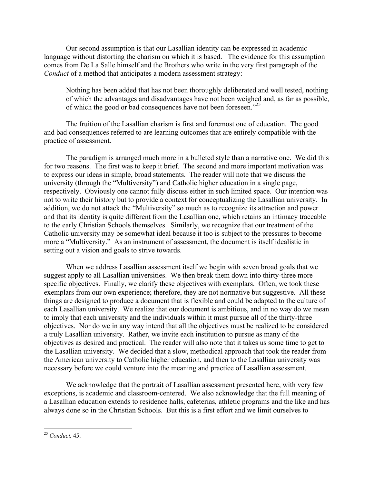Our second assumption is that our Lasallian identity can be expressed in academic language without distorting the charism on which it is based. The evidence for this assumption comes from De La Salle himself and the Brothers who write in the very first paragraph of the *Conduct* of a method that anticipates a modern assessment strategy:

Nothing has been added that has not been thoroughly deliberated and well tested, nothing of which the advantages and disadvantages have not been weighed and, as far as possible, of which the good or bad consequences have not been foreseen."<sup>25</sup>

 The fruition of the Lasallian charism is first and foremost one of education. The good and bad consequences referred to are learning outcomes that are entirely compatible with the practice of assessment.

 The paradigm is arranged much more in a bulleted style than a narrative one. We did this for two reasons. The first was to keep it brief. The second and more important motivation was to express our ideas in simple, broad statements. The reader will note that we discuss the university (through the "Multiversity") and Catholic higher education in a single page, respectively. Obviously one cannot fully discuss either in such limited space. Our intention was not to write their history but to provide a context for conceptualizing the Lasallian university. In addition, we do not attack the "Multiversity" so much as to recognize its attraction and power and that its identity is quite different from the Lasallian one, which retains an intimacy traceable to the early Christian Schools themselves. Similarly, we recognize that our treatment of the Catholic university may be somewhat ideal because it too is subject to the pressures to become more a "Multiversity." As an instrument of assessment, the document is itself idealistic in setting out a vision and goals to strive towards.

 When we address Lasallian assessment itself we begin with seven broad goals that we suggest apply to all Lasallian universities. We then break them down into thirty-three more specific objectives. Finally, we clarify these objectives with exemplars. Often, we took these exemplars from our own experience; therefore, they are not normative but suggestive. All these things are designed to produce a document that is flexible and could be adapted to the culture of each Lasallian university. We realize that our document is ambitious, and in no way do we mean to imply that each university and the individuals within it must pursue all of the thirty-three objectives. Nor do we in any way intend that all the objectives must be realized to be considered a truly Lasallian university. Rather, we invite each institution to pursue as many of the objectives as desired and practical. The reader will also note that it takes us some time to get to the Lasallian university. We decided that a slow, methodical approach that took the reader from the American university to Catholic higher education, and then to the Lasallian university was necessary before we could venture into the meaning and practice of Lasallian assessment.

 We acknowledge that the portrait of Lasallian assessment presented here, with very few exceptions, is academic and classroom-centered. We also acknowledge that the full meaning of a Lasallian education extends to residence halls, cafeterias, athletic programs and the like and has always done so in the Christian Schools. But this is a first effort and we limit ourselves to

 $\overline{a}$ 

<sup>25</sup> *Conduct,* 45.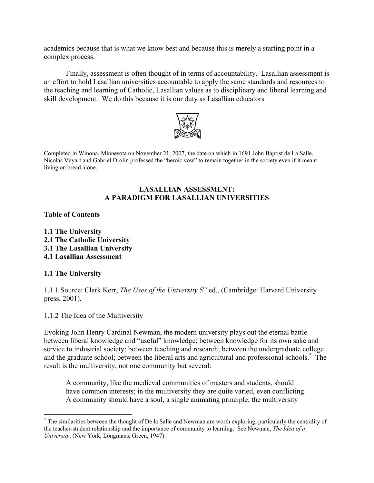academics because that is what we know best and because this is merely a starting point in a complex process.

 Finally, assessment is often thought of in terms of accountability. Lasallian assessment is an effort to hold Lasallian universities accountable to apply the same standards and resources to the teaching and learning of Catholic, Lasallian values as to disciplinary and liberal learning and skill development. We do this because it is our duty as Lasallian educators.



Completed in Winona, Minnesota on November 21, 2007, the date on which in 1691 John Baptist de La Salle, Nicolas Vuyart and Gabriel Drolin professed the "heroic vow" to remain together in the society even if it meant living on bread alone.

## **LASALLIAN ASSESSMENT: A PARADIGM FOR LASALLIAN UNIVERSITIES**

## **Table of Contents**

**1.1 The University 2.1 The Catholic University 3.1 The Lasallian University 4.1 Lasallian Assessment** 

### **1.1 The University**

1

1.1.1 Source: Clark Kerr, *The Uses of the University* 5<sup>th</sup> ed., (Cambridge: Harvard University press, 2001).

1.1.2 The Idea of the Multiversity

Evoking John Henry Cardinal Newman, the modern university plays out the eternal battle between liberal knowledge and "useful" knowledge; between knowledge for its own sake and service to industrial society; between teaching and research; between the undergraduate college and the graduate school; between the liberal arts and agricultural and professional schools.\* The result is the multiversity, not one community but several:

A community, like the medieval communities of masters and students, should have common interests; in the multiversity they are quite varied, even conflicting. A community should have a soul, a single animating principle; the multiversity

<sup>\*</sup> The similarities between the thought of De la Salle and Newman are worth exploring, particularly the centrality of the teacher-student relationship and the importance of community to learning. See Newman, *The Idea of a University*, (New York, Longmans, Green, 1947).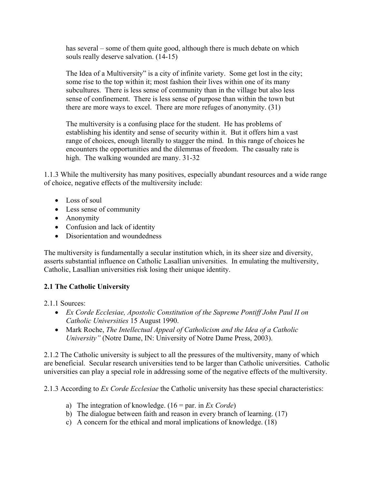has several – some of them quite good, although there is much debate on which souls really deserve salvation. (14-15)

The Idea of a Multiversity" is a city of infinite variety. Some get lost in the city; some rise to the top within it; most fashion their lives within one of its many subcultures. There is less sense of community than in the village but also less sense of confinement. There is less sense of purpose than within the town but there are more ways to excel. There are more refuges of anonymity. (31)

The multiversity is a confusing place for the student. He has problems of establishing his identity and sense of security within it. But it offers him a vast range of choices, enough literally to stagger the mind. In this range of choices he encounters the opportunities and the dilemmas of freedom. The casualty rate is high. The walking wounded are many. 31-32

1.1.3 While the multiversity has many positives, especially abundant resources and a wide range of choice, negative effects of the multiversity include:

- Loss of soul
- Less sense of community
- Anonymity
- Confusion and lack of identity
- Disorientation and woundedness

The multiversity is fundamentally a secular institution which, in its sheer size and diversity, asserts substantial influence on Catholic Lasallian universities. In emulating the multiversity, Catholic, Lasallian universities risk losing their unique identity.

## **2.1 The Catholic University**

2.1.1 Sources:

- *Ex Corde Ecclesiae, Apostolic Constitution of the Supreme Pontiff John Paul II on Catholic Universities* 15 August 1990.
- Mark Roche, *The Intellectual Appeal of Catholicism and the Idea of a Catholic University"* (Notre Dame, IN: University of Notre Dame Press, 2003).

2.1.2 The Catholic university is subject to all the pressures of the multiversity, many of which are beneficial. Secular research universities tend to be larger than Catholic universities. Catholic universities can play a special role in addressing some of the negative effects of the multiversity.

2.1.3 According to *Ex Corde Ecclesiae* the Catholic university has these special characteristics:

- a) The integration of knowledge. (16 = par. in *Ex Corde*)
- b) The dialogue between faith and reason in every branch of learning. (17)
- c) A concern for the ethical and moral implications of knowledge. (18)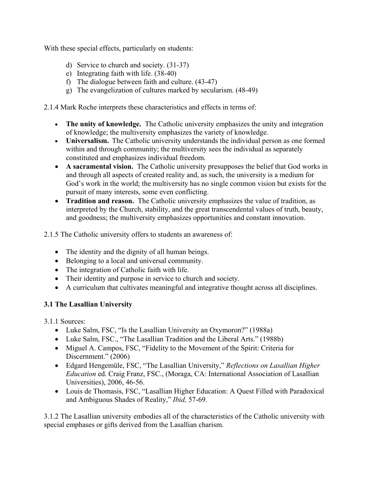With these special effects, particularly on students:

- d) Service to church and society. (31-37)
- e) Integrating faith with life. (38-40)
- f) The dialogue between faith and culture. (43-47)
- g) The evangelization of cultures marked by secularism. (48-49)

2.1.4 Mark Roche interprets these characteristics and effects in terms of:

- **The unity of knowledge.** The Catholic university emphasizes the unity and integration of knowledge; the multiversity emphasizes the variety of knowledge.
- **Universalism.** The Catholic university understands the individual person as one formed within and through community; the multiversity sees the individual as separately constituted and emphasizes individual freedom.
- **A sacramental vision.** The Catholic university presupposes the belief that God works in and through all aspects of created reality and, as such, the university is a medium for God's work in the world; the multiversity has no single common vision but exists for the pursuit of many interests, some even conflicting.
- **Tradition and reason.** The Catholic university emphasizes the value of tradition, as interpreted by the Church, stability, and the great transcendental values of truth, beauty, and goodness; the multiversity emphasizes opportunities and constant innovation.

2.1.5 The Catholic university offers to students an awareness of:

- The identity and the dignity of all human beings.
- Belonging to a local and universal community.
- The integration of Catholic faith with life.
- Their identity and purpose in service to church and society.
- A curriculum that cultivates meaningful and integrative thought across all disciplines.

## **3.1 The Lasallian University**

3.1.1 Sources:

- Luke Salm, FSC, "Is the Lasallian University an Oxymoron?" (1988a)
- Luke Salm, FSC., "The Lasallian Tradition and the Liberal Arts." (1988b)
- Miguel A. Campos, FSC, "Fidelity to the Movement of the Spirit: Criteria for Discernment." (2006)
- Edgard Hengemüle, FSC, "The Lasallian University," *Reflections on Lasallian Higher Education* ed. Craig Franz, FSC., (Moraga, CA: International Association of Lasallian Universities), 2006, 46-56.
- Louis de Thomasis, FSC, "Lasallian Higher Education: A Quest Filled with Paradoxical and Ambiguous Shades of Reality," *Ibid,* 57-69.

3.1.2 The Lasallian university embodies all of the characteristics of the Catholic university with special emphases or gifts derived from the Lasallian charism.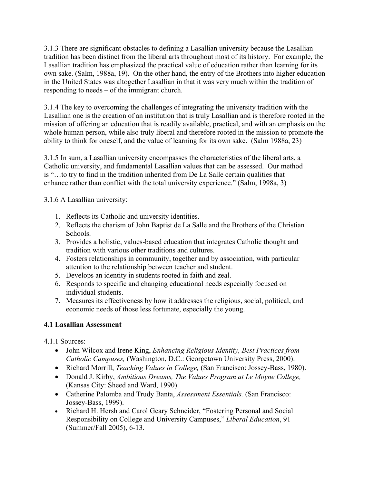3.1.3 There are significant obstacles to defining a Lasallian university because the Lasallian tradition has been distinct from the liberal arts throughout most of its history. For example, the Lasallian tradition has emphasized the practical value of education rather than learning for its own sake. (Salm, 1988a, 19). On the other hand, the entry of the Brothers into higher education in the United States was altogether Lasallian in that it was very much within the tradition of responding to needs – of the immigrant church.

3.1.4 The key to overcoming the challenges of integrating the university tradition with the Lasallian one is the creation of an institution that is truly Lasallian and is therefore rooted in the mission of offering an education that is readily available, practical, and with an emphasis on the whole human person, while also truly liberal and therefore rooted in the mission to promote the ability to think for oneself, and the value of learning for its own sake. (Salm 1988a, 23)

3.1.5 In sum, a Lasallian university encompasses the characteristics of the liberal arts, a Catholic university, and fundamental Lasallian values that can be assessed. Our method is "…to try to find in the tradition inherited from De La Salle certain qualities that enhance rather than conflict with the total university experience." (Salm, 1998a, 3)

3.1.6 A Lasallian university:

- 1. Reflects its Catholic and university identities.
- 2. Reflects the charism of John Baptist de La Salle and the Brothers of the Christian Schools.
- 3. Provides a holistic, values-based education that integrates Catholic thought and tradition with various other traditions and cultures.
- 4. Fosters relationships in community, together and by association, with particular attention to the relationship between teacher and student.
- 5. Develops an identity in students rooted in faith and zeal.
- 6. Responds to specific and changing educational needs especially focused on individual students.
- 7. Measures its effectiveness by how it addresses the religious, social, political, and economic needs of those less fortunate, especially the young.

## **4.1 Lasallian Assessment**

4.1.1 Sources:

- John Wilcox and Irene King, *Enhancing Religious Identity, Best Practices from Catholic Campuses,* (Washington, D.C.: Georgetown University Press, 2000).
- Richard Morrill, *Teaching Values in College,* (San Francisco: Jossey-Bass, 1980).
- Donald J. Kirby, *Ambitious Dreams, The Values Program at Le Moyne College,* (Kansas City: Sheed and Ward, 1990).
- Catherine Palomba and Trudy Banta, *Assessment Essentials.* (San Francisco: Jossey-Bass, 1999).
- Richard H. Hersh and Carol Geary Schneider, "Fostering Personal and Social Responsibility on College and University Campuses," *Liberal Education*, 91 (Summer/Fall 2005), 6-13.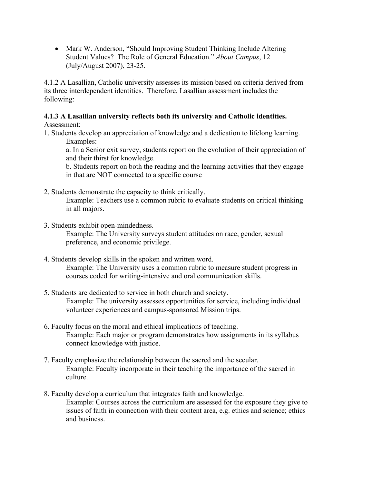• Mark W. Anderson, "Should Improving Student Thinking Include Altering Student Values? The Role of General Education." *About Campus*, 12 (July/August 2007), 23-25.

4.1.2 A Lasallian, Catholic university assesses its mission based on criteria derived from its three interdependent identities. Therefore, Lasallian assessment includes the following:

## **4.1.3 A Lasallian university reflects both its university and Catholic identities.**

Assessment:

1. Students develop an appreciation of knowledge and a dedication to lifelong learning. Examples:

a. In a Senior exit survey, students report on the evolution of their appreciation of and their thirst for knowledge.

b. Students report on both the reading and the learning activities that they engage in that are NOT connected to a specific course

2. Students demonstrate the capacity to think critically.

Example: Teachers use a common rubric to evaluate students on critical thinking in all majors.

3. Students exhibit open-mindedness.

Example: The University surveys student attitudes on race, gender, sexual preference, and economic privilege.

- 4. Students develop skills in the spoken and written word. Example: The University uses a common rubric to measure student progress in courses coded for writing-intensive and oral communication skills.
- 5. Students are dedicated to service in both church and society. Example: The university assesses opportunities for service, including individual volunteer experiences and campus-sponsored Mission trips.
- 6. Faculty focus on the moral and ethical implications of teaching. Example: Each major or program demonstrates how assignments in its syllabus connect knowledge with justice.
- 7. Faculty emphasize the relationship between the sacred and the secular. Example: Faculty incorporate in their teaching the importance of the sacred in culture.
- 8. Faculty develop a curriculum that integrates faith and knowledge. Example: Courses across the curriculum are assessed for the exposure they give to issues of faith in connection with their content area, e.g. ethics and science; ethics and business.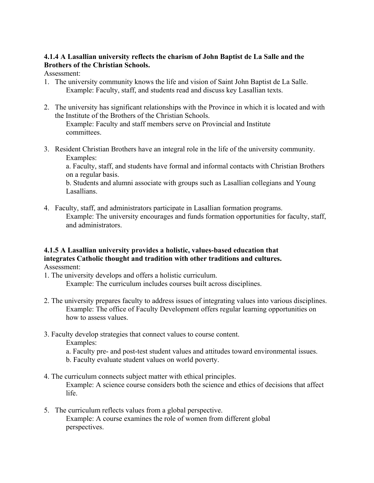## **4.1.4 A Lasallian university reflects the charism of John Baptist de La Salle and the Brothers of the Christian Schools.**

Assessment:

- 1. The university community knows the life and vision of Saint John Baptist de La Salle. Example: Faculty, staff, and students read and discuss key Lasallian texts.
- 2. The university has significant relationships with the Province in which it is located and with the Institute of the Brothers of the Christian Schools.

 Example: Faculty and staff members serve on Provincial and Institute committees.

3. Resident Christian Brothers have an integral role in the life of the university community. Examples:

a. Faculty, staff, and students have formal and informal contacts with Christian Brothers on a regular basis.

b. Students and alumni associate with groups such as Lasallian collegians and Young Lasallians.

4. Faculty, staff, and administrators participate in Lasallian formation programs. Example: The university encourages and funds formation opportunities for faculty, staff, and administrators.

## **4.1.5 A Lasallian university provides a holistic, values-based education that integrates Catholic thought and tradition with other traditions and cultures.**  Assessment:

1. The university develops and offers a holistic curriculum.

Example: The curriculum includes courses built across disciplines.

- 2. The university prepares faculty to address issues of integrating values into various disciplines. Example: The office of Faculty Development offers regular learning opportunities on how to assess values.
- 3. Faculty develop strategies that connect values to course content.

Examples:

- a. Faculty pre- and post-test student values and attitudes toward environmental issues.
- b. Faculty evaluate student values on world poverty.
- 4. The curriculum connects subject matter with ethical principles. Example: A science course considers both the science and ethics of decisions that affect life.
- 5. The curriculum reflects values from a global perspective. Example: A course examines the role of women from different global perspectives.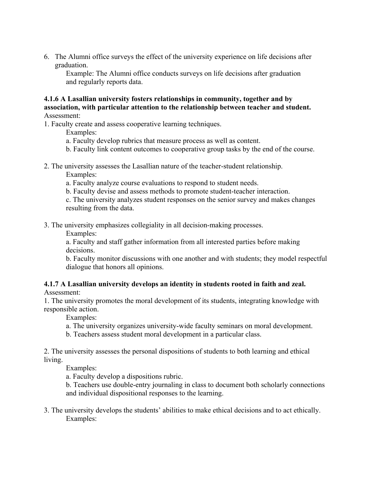6. The Alumni office surveys the effect of the university experience on life decisions after graduation.

Example: The Alumni office conducts surveys on life decisions after graduation and regularly reports data.

**4.1.6 A Lasallian university fosters relationships in community, together and by association, with particular attention to the relationship between teacher and student.**  Assessment:

1. Faculty create and assess cooperative learning techniques.

Examples:

- a. Faculty develop rubrics that measure process as well as content.
- b. Faculty link content outcomes to cooperative group tasks by the end of the course.
- 2. The university assesses the Lasallian nature of the teacher-student relationship.

Examples:

- a. Faculty analyze course evaluations to respond to student needs.
- b. Faculty devise and assess methods to promote student-teacher interaction.

c. The university analyzes student responses on the senior survey and makes changes resulting from the data.

3. The university emphasizes collegiality in all decision-making processes.

Examples:

a. Faculty and staff gather information from all interested parties before making decisions.

b. Faculty monitor discussions with one another and with students; they model respectful dialogue that honors all opinions.

#### **4.1.7 A Lasallian university develops an identity in students rooted in faith and zeal.**  Assessment:

1. The university promotes the moral development of its students, integrating knowledge with responsible action.

Examples:

- a. The university organizes university-wide faculty seminars on moral development.
- b. Teachers assess student moral development in a particular class.

2. The university assesses the personal dispositions of students to both learning and ethical living.

Examples:

a. Faculty develop a dispositions rubric.

b. Teachers use double-entry journaling in class to document both scholarly connections and individual dispositional responses to the learning.

3. The university develops the students' abilities to make ethical decisions and to act ethically. Examples: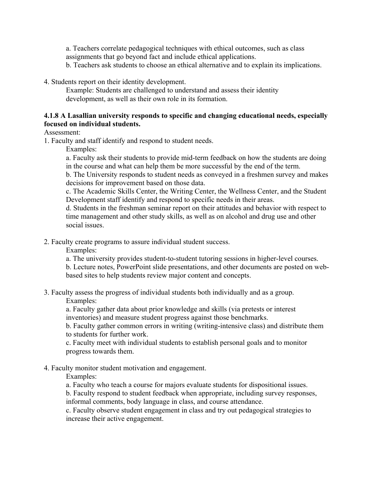a. Teachers correlate pedagogical techniques with ethical outcomes, such as class assignments that go beyond fact and include ethical applications.

b. Teachers ask students to choose an ethical alternative and to explain its implications.

4. Students report on their identity development.

Example: Students are challenged to understand and assess their identity development, as well as their own role in its formation.

## **4.1.8 A Lasallian university responds to specific and changing educational needs, especially focused on individual students.**

Assessment:

1. Faculty and staff identify and respond to student needs.

Examples:

a. Faculty ask their students to provide mid-term feedback on how the students are doing in the course and what can help them be more successful by the end of the term.

b. The University responds to student needs as conveyed in a freshmen survey and makes decisions for improvement based on those data.

c. The Academic Skills Center, the Writing Center, the Wellness Center, and the Student Development staff identify and respond to specific needs in their areas.

d. Students in the freshman seminar report on their attitudes and behavior with respect to time management and other study skills, as well as on alcohol and drug use and other social issues.

2. Faculty create programs to assure individual student success.

Examples:

a. The university provides student-to-student tutoring sessions in higher-level courses. b. Lecture notes, PowerPoint slide presentations, and other documents are posted on webbased sites to help students review major content and concepts.

3. Faculty assess the progress of individual students both individually and as a group.

Examples:

a. Faculty gather data about prior knowledge and skills (via pretests or interest inventories) and measure student progress against those benchmarks.

b. Faculty gather common errors in writing (writing-intensive class) and distribute them to students for further work.

c. Faculty meet with individual students to establish personal goals and to monitor progress towards them.

## 4. Faculty monitor student motivation and engagement.

Examples:

a. Faculty who teach a course for majors evaluate students for dispositional issues.

b. Faculty respond to student feedback when appropriate, including survey responses, informal comments, body language in class, and course attendance.

c. Faculty observe student engagement in class and try out pedagogical strategies to increase their active engagement.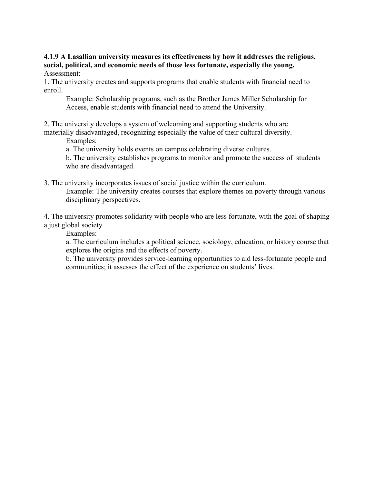**4.1.9 A Lasallian university measures its effectiveness by how it addresses the religious, social, political, and economic needs of those less fortunate, especially the young.** Assessment:

1. The university creates and supports programs that enable students with financial need to enroll.

Example: Scholarship programs, such as the Brother James Miller Scholarship for Access, enable students with financial need to attend the University.

2. The university develops a system of welcoming and supporting students who are materially disadvantaged, recognizing especially the value of their cultural diversity.

Examples:

a. The university holds events on campus celebrating diverse cultures.

b. The university establishes programs to monitor and promote the success of students who are disadvantaged.

3. The university incorporates issues of social justice within the curriculum. Example: The university creates courses that explore themes on poverty through various disciplinary perspectives.

4. The university promotes solidarity with people who are less fortunate, with the goal of shaping a just global society

Examples:

a. The curriculum includes a political science, sociology, education, or history course that explores the origins and the effects of poverty.

b. The university provides service-learning opportunities to aid less-fortunate people and communities; it assesses the effect of the experience on students' lives.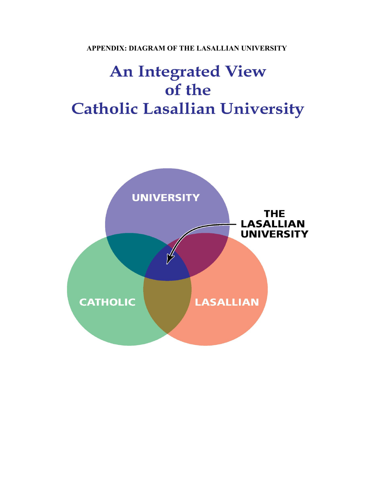**APPENDIX: DIAGRAM OF THE LASALLIAN UNIVERSITY** 

# **An Integrated View** of the **Catholic Lasallian University**

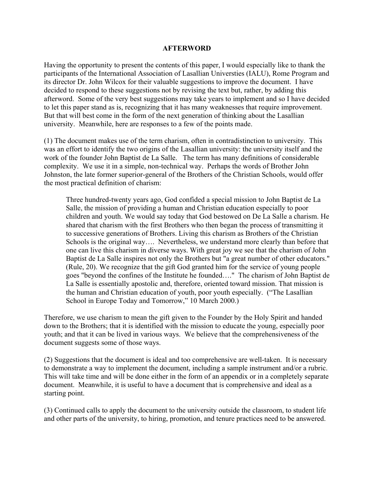#### **AFTERWORD**

Having the opportunity to present the contents of this paper, I would especially like to thank the participants of the International Association of Lasallian Universties (IALU), Rome Program and its director Dr. John Wilcox for their valuable suggestions to improve the document. I have decided to respond to these suggestions not by revising the text but, rather, by adding this afterword. Some of the very best suggestions may take years to implement and so I have decided to let this paper stand as is, recognizing that it has many weaknesses that require improvement. But that will best come in the form of the next generation of thinking about the Lasallian university. Meanwhile, here are responses to a few of the points made.

(1) The document makes use of the term charism, often in contradistinction to university. This was an effort to identify the two origins of the Lasallian university: the university itself and the work of the founder John Baptist de La Salle. The term has many definitions of considerable complexity. We use it in a simple, non-technical way. Perhaps the words of Brother John Johnston, the late former superior-general of the Brothers of the Christian Schools, would offer the most practical definition of charism:

Three hundred-twenty years ago, God confided a special mission to John Baptist de La Salle, the mission of providing a human and Christian education especially to poor children and youth. We would say today that God bestowed on De La Salle a charism. He shared that charism with the first Brothers who then began the process of transmitting it to successive generations of Brothers. Living this charism as Brothers of the Christian Schools is the original way.... Nevertheless, we understand more clearly than before that one can live this charism in diverse ways. With great joy we see that the charism of John Baptist de La Salle inspires not only the Brothers but "a great number of other educators." (Rule, 20). We recognize that the gift God granted him for the service of young people goes "beyond the confines of the Institute he founded…." The charism of John Baptist de La Salle is essentially apostolic and, therefore, oriented toward mission. That mission is the human and Christian education of youth, poor youth especially. ("The Lasallian School in Europe Today and Tomorrow," 10 March 2000.)

Therefore, we use charism to mean the gift given to the Founder by the Holy Spirit and handed down to the Brothers; that it is identified with the mission to educate the young, especially poor youth; and that it can be lived in various ways. We believe that the comprehensiveness of the document suggests some of those ways.

(2) Suggestions that the document is ideal and too comprehensive are well-taken. It is necessary to demonstrate a way to implement the document, including a sample instrument and/or a rubric. This will take time and will be done either in the form of an appendix or in a completely separate document. Meanwhile, it is useful to have a document that is comprehensive and ideal as a starting point.

(3) Continued calls to apply the document to the university outside the classroom, to student life and other parts of the university, to hiring, promotion, and tenure practices need to be answered.